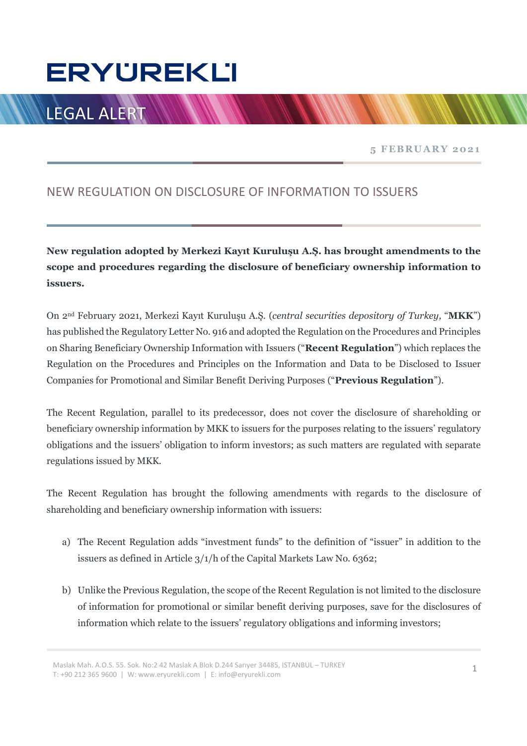# **ERYUREKLI** ERYUREKLI<br>LEGAL ALERT WWWWWWWWWWWWWWWWWWWWWWW<br>
FEBRUART AND STEBRUARY 2021

LEGAL ALERT WWW.WWW

### NEW REGULATION ON DISCLOSURE OF INFORMATION TO ISSUERS

New regulation adopted by Merkezi Kayıt Kuruluşu A.Ş. has brought amendments to the scope and procedures regarding the disclosure of beneficiary ownership information to issuers.

On 2<sup>nd</sup> February 2021, Merkezi Kayıt Kurulusu A.S. (central securities depository of Turkey, "MKK") has published the Regulatory Letter No. 916 and adopted the Regulation on the Procedures and Principles on Sharing Beneficiary Ownership Information with Issuers ("Recent Regulation") which replaces the Regulation on the Procedures and Principles on the Information and Data to be Disclosed to Issuer Companies for Promotional and Similar Benefit Deriving Purposes ("Previous Regulation").

The Recent Regulation, parallel to its predecessor, does not cover the disclosure of shareholding or beneficiary ownership information by MKK to issuers for the purposes relating to the issuers' regulatory obligations and the issuers' obligation to inform investors; as such matters are regulated with separate regulations issued by MKK.

The Recent Regulation has brought the following amendments with regards to the disclosure of shareholding and beneficiary ownership information with issuers:

- a) The Recent Regulation adds "investment funds" to the definition of "issuer" in addition to the issuers as defined in Article  $3/1/h$  of the Capital Markets Law No. 6362;
- b) Unlike the Previous Regulation, the scope of the Recent Regulation is not limited to the disclosure of information for promotional or similar benefit deriving purposes, save for the disclosures of information which relate to the issuers' regulatory obligations and informing investors;